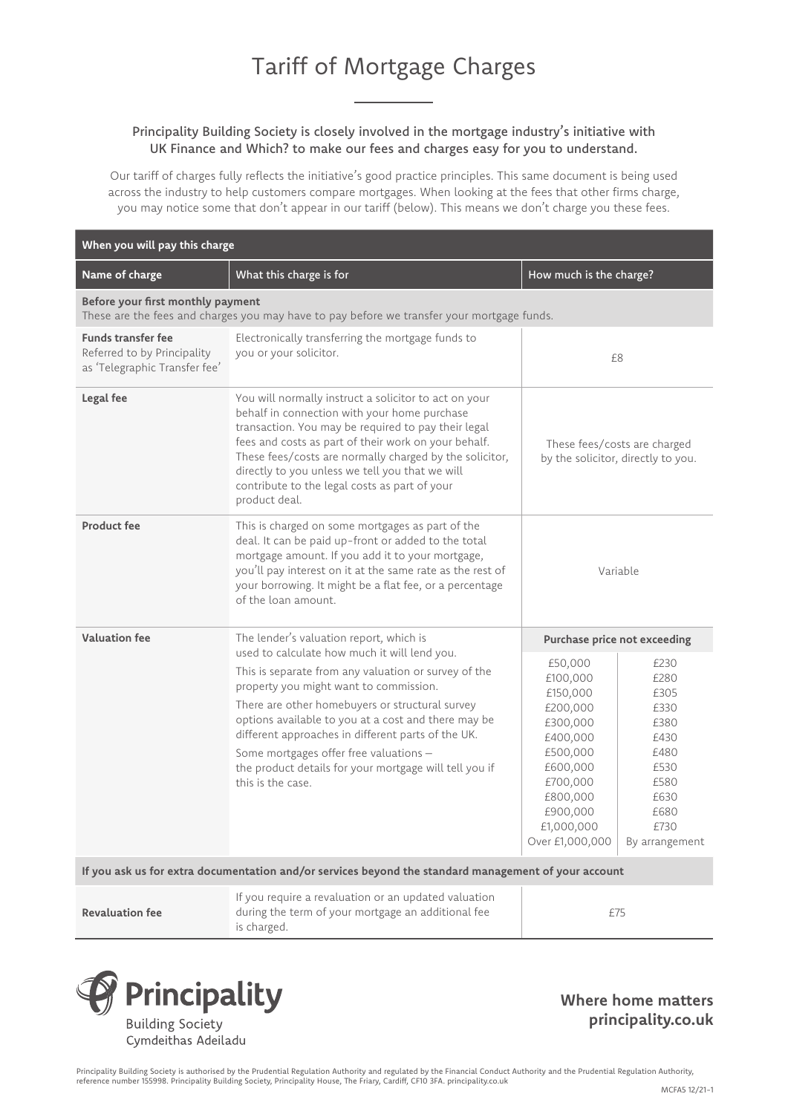## Principality Building Society is closely involved in the mortgage industry's initiative with UK Finance and Which? to make our fees and charges easy for you to understand.

Our tariff of charges fully reflects the initiative's good practice principles. This same document is being used across the industry to help customers compare mortgages. When looking at the fees that other firms charge, you may notice some that don't appear in our tariff (below). This means we don't charge you these fees.

| When you will pay this charge                                                                                                   |                                                                                                                                                                                                                                                                                                                                                                                                                                                                                    |                                                                                                                                                                  |                                                                                                                |  |  |
|---------------------------------------------------------------------------------------------------------------------------------|------------------------------------------------------------------------------------------------------------------------------------------------------------------------------------------------------------------------------------------------------------------------------------------------------------------------------------------------------------------------------------------------------------------------------------------------------------------------------------|------------------------------------------------------------------------------------------------------------------------------------------------------------------|----------------------------------------------------------------------------------------------------------------|--|--|
| Name of charge                                                                                                                  | What this charge is for                                                                                                                                                                                                                                                                                                                                                                                                                                                            | How much is the charge?                                                                                                                                          |                                                                                                                |  |  |
| Before your first monthly payment<br>These are the fees and charges you may have to pay before we transfer your mortgage funds. |                                                                                                                                                                                                                                                                                                                                                                                                                                                                                    |                                                                                                                                                                  |                                                                                                                |  |  |
| <b>Funds transfer fee</b><br>Referred to by Principality<br>as 'Telegraphic Transfer fee'                                       | Electronically transferring the mortgage funds to<br>you or your solicitor.                                                                                                                                                                                                                                                                                                                                                                                                        | £8                                                                                                                                                               |                                                                                                                |  |  |
| Legal fee                                                                                                                       | You will normally instruct a solicitor to act on your<br>behalf in connection with your home purchase<br>transaction. You may be required to pay their legal<br>fees and costs as part of their work on your behalf.<br>These fees/costs are normally charged by the solicitor,<br>directly to you unless we tell you that we will<br>contribute to the legal costs as part of your<br>product deal.                                                                               | These fees/costs are charged<br>by the solicitor, directly to you.                                                                                               |                                                                                                                |  |  |
| <b>Product fee</b>                                                                                                              | This is charged on some mortgages as part of the<br>deal. It can be paid up-front or added to the total<br>mortgage amount. If you add it to your mortgage,<br>you'll pay interest on it at the same rate as the rest of<br>your borrowing. It might be a flat fee, or a percentage<br>of the loan amount.                                                                                                                                                                         | Variable                                                                                                                                                         |                                                                                                                |  |  |
| <b>Valuation fee</b>                                                                                                            | The lender's valuation report, which is<br>used to calculate how much it will lend you.<br>This is separate from any valuation or survey of the<br>property you might want to commission.<br>There are other homebuyers or structural survey<br>options available to you at a cost and there may be<br>different approaches in different parts of the UK.<br>Some mortgages offer free valuations -<br>the product details for your mortgage will tell you if<br>this is the case. | Purchase price not exceeding                                                                                                                                     |                                                                                                                |  |  |
|                                                                                                                                 |                                                                                                                                                                                                                                                                                                                                                                                                                                                                                    | £50,000<br>£100,000<br>£150,000<br>£200,000<br>£300,000<br>£400,000<br>£500,000<br>£600,000<br>£700,000<br>£800,000<br>£900,000<br>£1,000,000<br>Over £1,000,000 | £230<br>£280<br>£305<br>£330<br>£380<br>£430<br>£480<br>£530<br>£580<br>£630<br>£680<br>£730<br>By arrangement |  |  |
| If you ask us for extra documentation and/or services beyond the standard management of your account                            |                                                                                                                                                                                                                                                                                                                                                                                                                                                                                    |                                                                                                                                                                  |                                                                                                                |  |  |
| <b>Revaluation fee</b>                                                                                                          | If you require a revaluation or an updated valuation<br>during the term of your mortgage an additional fee                                                                                                                                                                                                                                                                                                                                                                         | £75                                                                                                                                                              |                                                                                                                |  |  |

**Revaluation fee** is charged.



**Where home matters principality.co.uk**